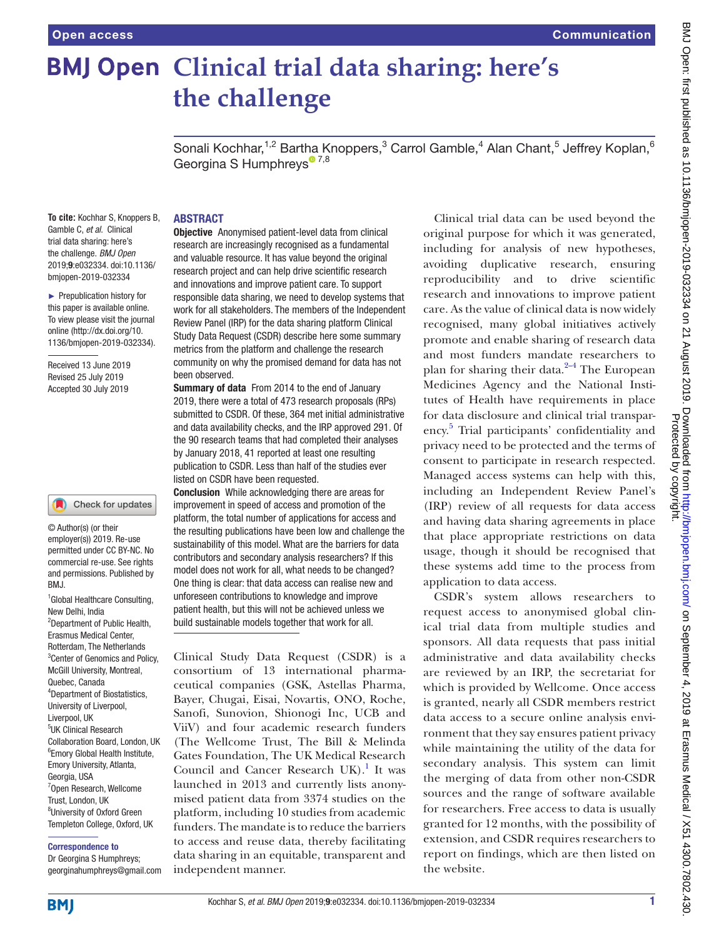# **BMJ Open Clinical trial data sharing: here's the challenge**

Sonali Kochhar,<sup>1,2</sup> Bartha Knoppers,<sup>3</sup> Carrol Gamble,<sup>4</sup> Alan Chant,<sup>5</sup> Jeffrey Koplan,<sup>6</sup> Georgina S Humphrey[s](http://orcid.org/0000-0001-9947-0034)<sup> $27,8$ </sup>

#### **To cite:** Kochhar S, Knoppers B, Gamble C, *et al*. Clinical trial data sharing: here's the challenge. *BMJ Open* 2019;9:e032334. doi:10.1136/ bmjopen-2019-032334

► Prepublication history for this paper is available online. To view please visit the journal online [\(http://dx.doi.org/10.](http://dx.doi.org/10.1136/bmjopen-2016-014238).) [1136/bmjopen-2019-032334\).](http://dx.doi.org/10.1136/bmjopen-2016-014238).)

Received 13 June 2019 Revised 25 July 2019 Accepted 30 July 2019

### Check for updates

© Author(s) (or their employer(s)) 2019. Re-use permitted under CC BY-NC. No commercial re-use. See rights and permissions. Published by BMJ.

<sup>1</sup> Global Healthcare Consulting, New Delhi, India 2 Department of Public Health, Erasmus Medical Center, Rotterdam, The Netherlands 3 Center of Genomics and Policy, McGill University, Montreal, Quebec, Canada 4 Department of Biostatistics, University of Liverpool, Liverpool, UK 5 UK Clinical Research Collaboration Board, London, UK 6 Emory Global Health Institute, Emory University, Atlanta, Georgia, USA 7 Open Research, Wellcome Trust, London, UK <sup>8</sup>University of Oxford Green Templeton College, Oxford, UK

#### Correspondence to

Dr Georgina S Humphreys; georginahumphreys@gmail.com

## **ABSTRACT**

Objective Anonymised patient-level data from clinical research are increasingly recognised as a fundamental and valuable resource. It has value beyond the original research project and can help drive scientific research and innovations and improve patient care. To support responsible data sharing, we need to develop systems that work for all stakeholders. The members of the Independent Review Panel (IRP) for the data sharing platform Clinical Study Data Request (CSDR) describe here some summary metrics from the platform and challenge the research community on why the promised demand for data has not been observed.

Summary of data From 2014 to the end of January 2019, there were a total of 473 research proposals (RPs) submitted to CSDR. Of these, 364 met initial administrative and data availability checks, and the IRP approved 291. Of the 90 research teams that had completed their analyses by January 2018, 41 reported at least one resulting publication to CSDR. Less than half of the studies ever listed on CSDR have been requested.

Conclusion While acknowledging there are areas for improvement in speed of access and promotion of the platform, the total number of applications for access and the resulting publications have been low and challenge the sustainability of this model. What are the barriers for data contributors and secondary analysis researchers? If this model does not work for all, what needs to be changed? One thing is clear: that data access can realise new and unforeseen contributions to knowledge and improve patient health, but this will not be achieved unless we build sustainable models together that work for all.

Clinical Study Data Request (CSDR) is a consortium of 13 international pharmaceutical companies (GSK, Astellas Pharma, Bayer, Chugai, Eisai, Novartis, ONO, Roche, Sanofi, Sunovion, Shionogi Inc, UCB and ViiV) and four academic research funders (The Wellcome Trust, The Bill & Melinda Gates Foundation, The UK Medical Research Council and Cancer Research UK).<sup>[1](#page-3-0)</sup> It was launched in 2013 and currently lists anonymised patient data from 3374 studies on the platform, including 10 studies from academic funders. The mandate is to reduce the barriers to access and reuse data, thereby facilitating data sharing in an equitable, transparent and independent manner.

Clinical trial data can be used beyond the original purpose for which it was generated, including for analysis of new hypotheses, avoiding duplicative research, ensuring reproducibility and to drive scientific research and innovations to improve patient care. As the value of clinical data is now widely recognised, many global initiatives actively promote and enable sharing of research data and most funders mandate researchers to plan for sharing their data. $2-4$  The European Medicines Agency and the National Institutes of Health have requirements in place for data disclosure and clinical trial transparency. [5](#page-3-2) Trial participants' confidentiality and privacy need to be protected and the terms of consent to participate in research respected. Managed access systems can help with this, including an Independent Review Panel's (IRP) review of all requests for data access and having data sharing agreements in place that place appropriate restrictions on data usage, though it should be recognised that these systems add time to the process from application to data access.

CSDR's system allows researchers to request access to anonymised global clinical trial data from multiple studies and sponsors. All data requests that pass initial administrative and data availability checks are reviewed by an IRP, the secretariat for which is provided by Wellcome. Once access is granted, nearly all CSDR members restrict data access to a secure online analysis environment that they say ensures patient privacy while maintaining the utility of the data for secondary analysis. This system can limit the merging of data from other non-CSDR sources and the range of software available for researchers. Free access to data is usually granted for 12 months, with the possibility of extension, and CSDR requires researchers to report on findings, which are then listed on the website.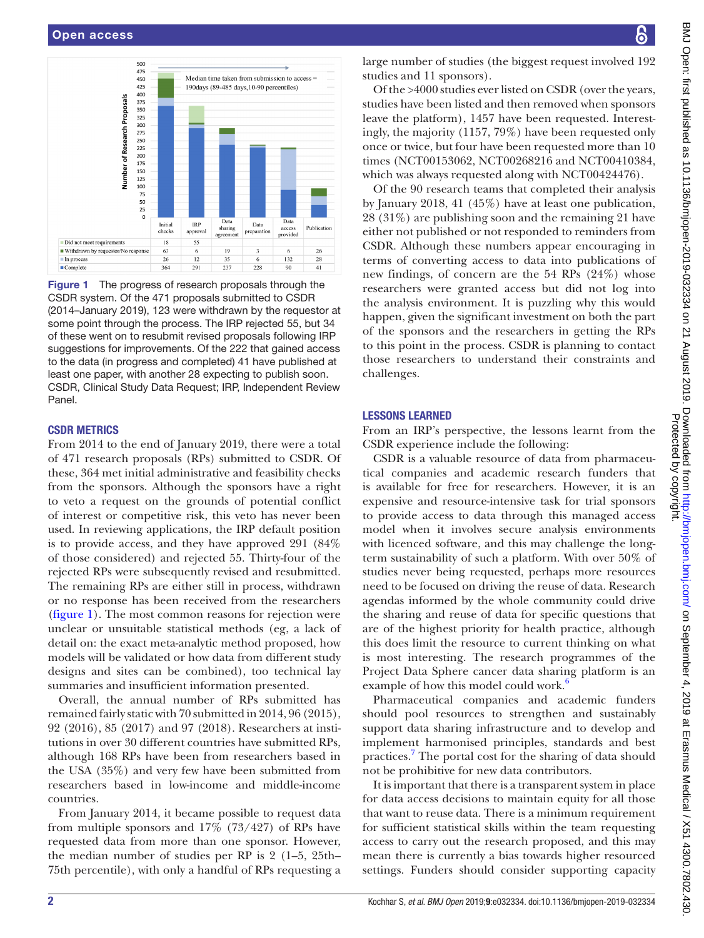

<span id="page-1-0"></span>

## CSDR metrics

From 2014 to the end of January 2019, there were a total of 471 research proposals (RPs) submitted to CSDR. Of these, 364 met initial administrative and feasibility checks from the sponsors. Although the sponsors have a right to veto a request on the grounds of potential conflict of interest or competitive risk, this veto has never been used. In reviewing applications, the IRP default position is to provide access, and they have approved 291 (84% of those considered) and rejected 55. Thirty-four of the rejected RPs were subsequently revised and resubmitted. The remaining RPs are either still in process, withdrawn or no response has been received from the researchers ([figure](#page-1-0) 1). The most common reasons for rejection were unclear or unsuitable statistical methods (eg, a lack of detail on: the exact meta-analytic method proposed, how models will be validated or how data from different study designs and sites can be combined), too technical lay summaries and insufficient information presented.

Overall, the annual number of RPs submitted has remained fairly static with 70 submitted in 2014, 96 (2015), 92 (2016), 85 (2017) and 97 (2018). Researchers at institutions in over 30 different countries have submitted RPs, although 168 RPs have been from researchers based in the USA (35%) and very few have been submitted from researchers based in low-income and middle-income countries.

From January 2014, it became possible to request data from multiple sponsors and  $17\%$  (73/427) of RPs have requested data from more than one sponsor. However, the median number of studies per RP is 2 (1–5, 25th– 75th percentile), with only a handful of RPs requesting a

large number of studies (the biggest request involved 192 studies and 11 sponsors).

Of the >4000 studies ever listed on CSDR (over the years, studies have been listed and then removed when sponsors leave the platform), 1457 have been requested. Interestingly, the majority (1157, 79%) have been requested only once or twice, but four have been requested more than 10 times (NCT00153062, NCT00268216 and NCT00410384, which was always requested along with NCT00424476).

Of the 90 research teams that completed their analysis by January 2018, 41 (45%) have at least one publication, 28 (31%) are publishing soon and the remaining 21 have either not published or not responded to reminders from CSDR. Although these numbers appear encouraging in terms of converting access to data into publications of new findings, of concern are the 54 RPs (24%) whose researchers were granted access but did not log into the analysis environment. It is puzzling why this would happen, given the significant investment on both the part of the sponsors and the researchers in getting the RPs to this point in the process. CSDR is planning to contact those researchers to understand their constraints and challenges.

## Lessons learned

From an IRP's perspective, the lessons learnt from the CSDR experience include the following:

CSDR is a valuable resource of data from pharmaceutical companies and academic research funders that is available for free for researchers. However, it is an expensive and resource-intensive task for trial sponsors to provide access to data through this managed access model when it involves secure analysis environments with licenced software, and this may challenge the longterm sustainability of such a platform. With over 50% of studies never being requested, perhaps more resources need to be focused on driving the reuse of data. Research agendas informed by the whole community could drive the sharing and reuse of data for specific questions that are of the highest priority for health practice, although this does limit the resource to current thinking on what is most interesting. The research programmes of the Project Data Sphere cancer data sharing platform is an example of how this model could work.<sup>6</sup>

Pharmaceutical companies and academic funders should pool resources to strengthen and sustainably support data sharing infrastructure and to develop and implement harmonised principles, standards and best practices.[7](#page-3-4) The portal cost for the sharing of data should not be prohibitive for new data contributors.

It is important that there is a transparent system in place for data access decisions to maintain equity for all those that want to reuse data. There is a minimum requirement for sufficient statistical skills within the team requesting access to carry out the research proposed, and this may mean there is currently a bias towards higher resourced settings. Funders should consider supporting capacity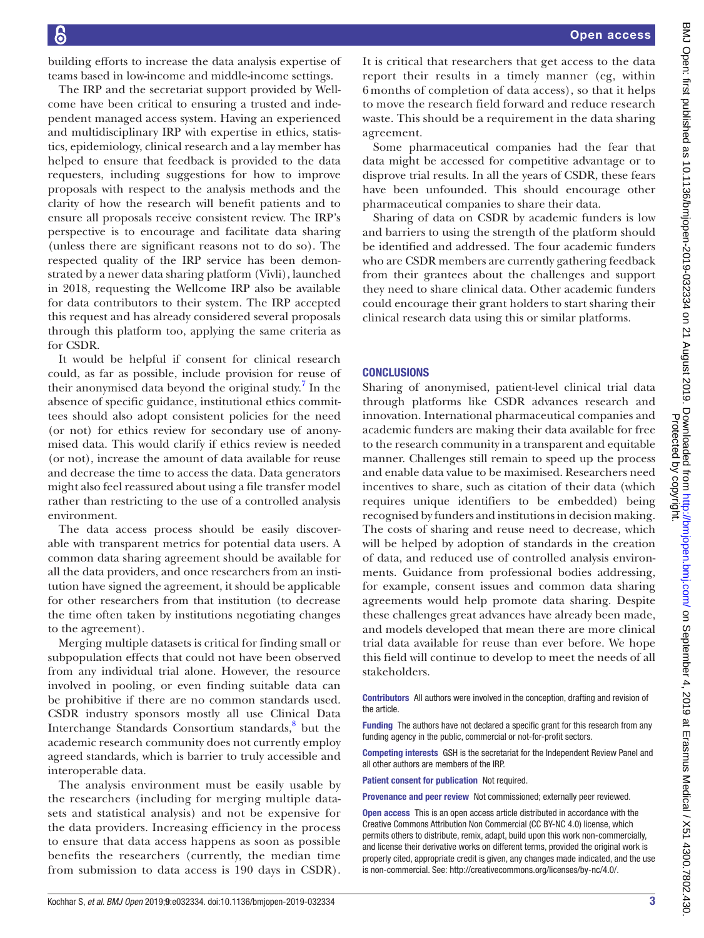building efforts to increase the data analysis expertise of teams based in low-income and middle-income settings.

The IRP and the secretariat support provided by Wellcome have been critical to ensuring a trusted and independent managed access system. Having an experienced and multidisciplinary IRP with expertise in ethics, statistics, epidemiology, clinical research and a lay member has helped to ensure that feedback is provided to the data requesters, including suggestions for how to improve proposals with respect to the analysis methods and the clarity of how the research will benefit patients and to ensure all proposals receive consistent review. The IRP's perspective is to encourage and facilitate data sharing (unless there are significant reasons not to do so). The respected quality of the IRP service has been demonstrated by a newer data sharing platform (Vivli), launched in 2018, requesting the Wellcome IRP also be available for data contributors to their system. The IRP accepted this request and has already considered several proposals through this platform too, applying the same criteria as for CSDR.

It would be helpful if consent for clinical research could, as far as possible, include provision for reuse of their anonymised data beyond the original study.<sup>7</sup> In the absence of specific guidance, institutional ethics committees should also adopt consistent policies for the need (or not) for ethics review for secondary use of anonymised data. This would clarify if ethics review is needed (or not), increase the amount of data available for reuse and decrease the time to access the data. Data generators might also feel reassured about using a file transfer model rather than restricting to the use of a controlled analysis environment.

The data access process should be easily discoverable with transparent metrics for potential data users. A common data sharing agreement should be available for all the data providers, and once researchers from an institution have signed the agreement, it should be applicable for other researchers from that institution (to decrease the time often taken by institutions negotiating changes to the agreement).

Merging multiple datasets is critical for finding small or subpopulation effects that could not have been observed from any individual trial alone. However, the resource involved in pooling, or even finding suitable data can be prohibitive if there are no common standards used. CSDR industry sponsors mostly all use Clinical Data Interchange Standards Consortium standards,<sup>8</sup> but the academic research community does not currently employ agreed standards, which is barrier to truly accessible and interoperable data.

The analysis environment must be easily usable by the researchers (including for merging multiple datasets and statistical analysis) and not be expensive for the data providers. Increasing efficiency in the process to ensure that data access happens as soon as possible benefits the researchers (currently, the median time from submission to data access is 190 days in CSDR).

It is critical that researchers that get access to the data report their results in a timely manner (eg, within 6 months of completion of data access), so that it helps to move the research field forward and reduce research waste. This should be a requirement in the data sharing agreement.

Some pharmaceutical companies had the fear that data might be accessed for competitive advantage or to disprove trial results. In all the years of CSDR, these fears have been unfounded. This should encourage other pharmaceutical companies to share their data.

Sharing of data on CSDR by academic funders is low and barriers to using the strength of the platform should be identified and addressed. The four academic funders who are CSDR members are currently gathering feedback from their grantees about the challenges and support they need to share clinical data. Other academic funders could encourage their grant holders to start sharing their clinical research data using this or similar platforms.

# **CONCLUSIONS**

Sharing of anonymised, patient-level clinical trial data through platforms like CSDR advances research and innovation. International pharmaceutical companies and academic funders are making their data available for free to the research community in a transparent and equitable manner. Challenges still remain to speed up the process and enable data value to be maximised. Researchers need incentives to share, such as citation of their data (which requires unique identifiers to be embedded) being recognised by funders and institutions in decision making. The costs of sharing and reuse need to decrease, which will be helped by adoption of standards in the creation of data, and reduced use of controlled analysis environments. Guidance from professional bodies addressing, for example, consent issues and common data sharing agreements would help promote data sharing. Despite these challenges great advances have already been made, and models developed that mean there are more clinical trial data available for reuse than ever before. We hope this field will continue to develop to meet the needs of all stakeholders.

Contributors All authors were involved in the conception, drafting and revision of the article.

Funding The authors have not declared a specific grant for this research from any funding agency in the public, commercial or not-for-profit sectors.

Competing interests GSH is the secretariat for the Independent Review Panel and all other authors are members of the IRP.

Patient consent for publication Not required.

Provenance and peer review Not commissioned; externally peer reviewed.

Open access This is an open access article distributed in accordance with the Creative Commons Attribution Non Commercial (CC BY-NC 4.0) license, which permits others to distribute, remix, adapt, build upon this work non-commercially, and license their derivative works on different terms, provided the original work is properly cited, appropriate credit is given, any changes made indicated, and the use is non-commercial. See: [http://creativecommons.org/licenses/by-nc/4.0/.](http://creativecommons.org/licenses/by-nc/4.0/)